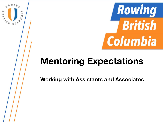

# **Mentoring Expectations**

Ħ

**Working with Assistants and Associates**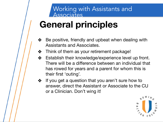# **General principles**

- ❖ Be positive, friendly and upbeat when dealing with Assistants and Associates.
- ❖ Think of them as your retirement package!
- ❖ Establish their knowledge/experience level up front. There will be a difference between an individual that has rowed for years and a parent for whom this is their first 'outing'.
- ❖ If you get a question that you aren't sure how to answer, direct the Assistant or Associate to the CU or a Clinician. Don't wing it!

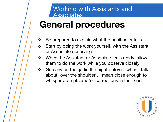## **General procedures**

- $\clubsuit$  Be prepared to explain what the position entails
- ❖ Start by doing the work yourself, with the Assistant or Associate observing
- ❖ When the Assistant or Associate feels ready, allow them to do the work while you observe closely
- ❖ Go easy on the garlic the night before when I talk about "over the shoulder", I mean close enough to whisper prompts and/or corrections in their ear!

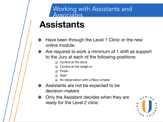## **Assistants**

- ❖ Have been through the Level 1 Clinic or the new online module.
- ❖ Are required to work a minimum of 1 shift as support to the Jury at each of the following positions:
	- ❑ Control at the dock
	- ❑ Control at the weigh-in
	- ❑ Finish
	- **Start**
	- ❑ An observation with a Race Umpire
- ❖ Assistants are not be expected to be decision-makers
- ❖ Only the Assistant decides when they are ready for the Level 2 clinic

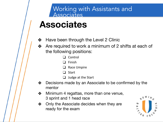## **Associates**

- ❖ Have been through the Level 2 Clinic
- ❖ Are required to work a minimum of 2 shifts at each of the following positions:
	- ❑ Control
	- ❑ Finish
	- ❑ Race Umpire
	- ❑ Start
	- ❑ Judge at the Start
- ❖ Decisions made by an Associate to be confirmed by the mentor
- ❖ Minimum 4 regattas, more than one venue, 3 sprint and 1 head race
- ❖ Only the Associate decides when they are ready for the exam

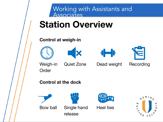

## **Station Overview**

#### **Control at weigh-in**









**Order** 

Weigh-in Quiet Zone Dead weight Recording

**Control at the dock**



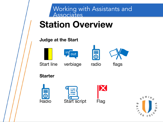

## **Station Overview**

#### **Judge at the Start**









Start line verbiage radio flags

**Starter**







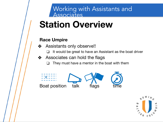# **Station Overview**

#### **Race Umpire**

- ❖ Assistants only observe!!
	- ❑ It would be great to have an Assistant as the boat driver
- ❖ Associates can hold the flags
	- They must have a mentor in the boat with them